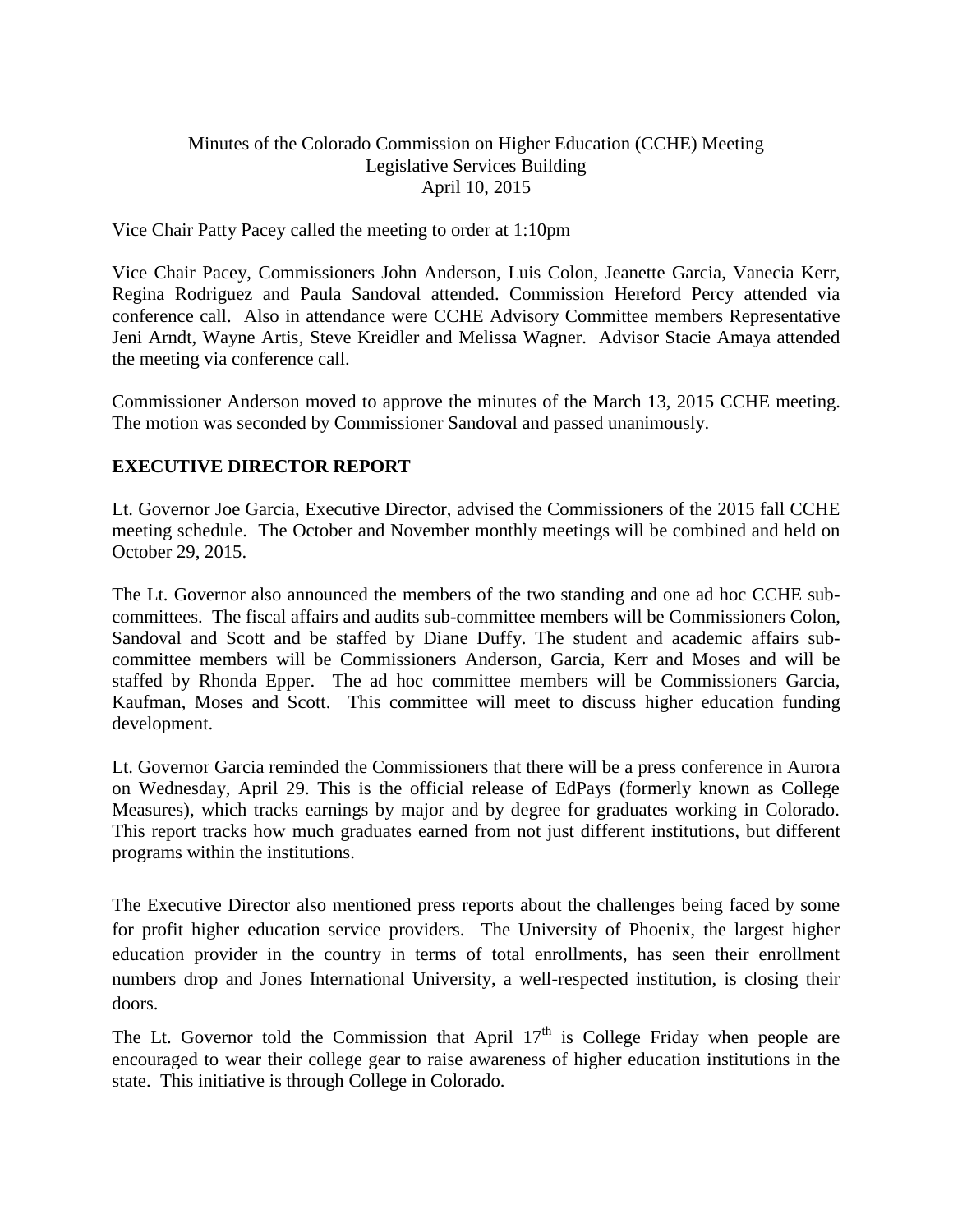### Minutes of the Colorado Commission on Higher Education (CCHE) Meeting Legislative Services Building April 10, 2015

Vice Chair Patty Pacey called the meeting to order at 1:10pm

Vice Chair Pacey, Commissioners John Anderson, Luis Colon, Jeanette Garcia, Vanecia Kerr, Regina Rodriguez and Paula Sandoval attended. Commission Hereford Percy attended via conference call. Also in attendance were CCHE Advisory Committee members Representative Jeni Arndt, Wayne Artis, Steve Kreidler and Melissa Wagner. Advisor Stacie Amaya attended the meeting via conference call.

Commissioner Anderson moved to approve the minutes of the March 13, 2015 CCHE meeting. The motion was seconded by Commissioner Sandoval and passed unanimously.

### **EXECUTIVE DIRECTOR REPORT**

Lt. Governor Joe Garcia, Executive Director, advised the Commissioners of the 2015 fall CCHE meeting schedule. The October and November monthly meetings will be combined and held on October 29, 2015.

The Lt. Governor also announced the members of the two standing and one ad hoc CCHE subcommittees. The fiscal affairs and audits sub-committee members will be Commissioners Colon, Sandoval and Scott and be staffed by Diane Duffy. The student and academic affairs subcommittee members will be Commissioners Anderson, Garcia, Kerr and Moses and will be staffed by Rhonda Epper. The ad hoc committee members will be Commissioners Garcia, Kaufman, Moses and Scott. This committee will meet to discuss higher education funding development.

Lt. Governor Garcia reminded the Commissioners that there will be a press conference in Aurora on Wednesday, April 29. This is the official release of EdPays (formerly known as College Measures), which tracks earnings by major and by degree for graduates working in Colorado. This report tracks how much graduates earned from not just different institutions, but different programs within the institutions.

The Executive Director also mentioned press reports about the challenges being faced by some for profit higher education service providers. The University of Phoenix, the largest higher education provider in the country in terms of total enrollments, has seen their enrollment numbers drop and Jones International University, a well-respected institution, is closing their doors.

The Lt. Governor told the Commission that April  $17<sup>th</sup>$  is College Friday when people are encouraged to wear their college gear to raise awareness of higher education institutions in the state. This initiative is through College in Colorado.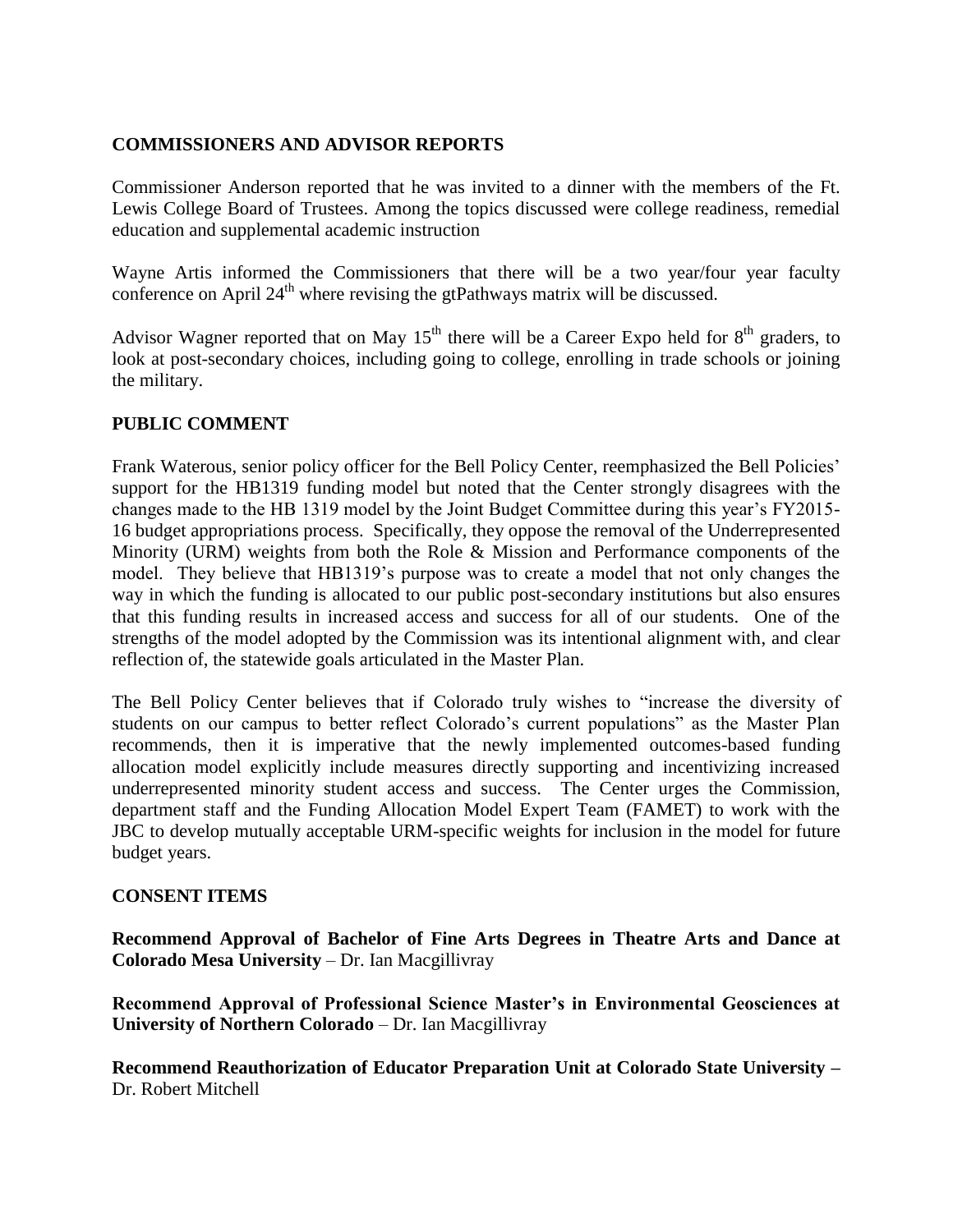### **COMMISSIONERS AND ADVISOR REPORTS**

Commissioner Anderson reported that he was invited to a dinner with the members of the Ft. Lewis College Board of Trustees. Among the topics discussed were college readiness, remedial education and supplemental academic instruction

Wayne Artis informed the Commissioners that there will be a two year/four year faculty conference on April  $24<sup>th</sup>$  where revising the gtPathways matrix will be discussed.

Advisor Wagner reported that on May 15<sup>th</sup> there will be a Career Expo held for  $8<sup>th</sup>$  graders, to look at post-secondary choices, including going to college, enrolling in trade schools or joining the military.

## **PUBLIC COMMENT**

Frank Waterous, senior policy officer for the Bell Policy Center, reemphasized the Bell Policies' support for the HB1319 funding model but noted that the Center strongly disagrees with the changes made to the HB 1319 model by the Joint Budget Committee during this year's FY2015- 16 budget appropriations process. Specifically, they oppose the removal of the Underrepresented Minority (URM) weights from both the Role & Mission and Performance components of the model. They believe that HB1319's purpose was to create a model that not only changes the way in which the funding is allocated to our public post-secondary institutions but also ensures that this funding results in increased access and success for all of our students. One of the strengths of the model adopted by the Commission was its intentional alignment with, and clear reflection of, the statewide goals articulated in the Master Plan.

The Bell Policy Center believes that if Colorado truly wishes to "increase the diversity of students on our campus to better reflect Colorado's current populations" as the Master Plan recommends, then it is imperative that the newly implemented outcomes-based funding allocation model explicitly include measures directly supporting and incentivizing increased underrepresented minority student access and success. The Center urges the Commission, department staff and the Funding Allocation Model Expert Team (FAMET) to work with the JBC to develop mutually acceptable URM-specific weights for inclusion in the model for future budget years.

#### **CONSENT ITEMS**

**Recommend Approval of Bachelor of Fine Arts Degrees in Theatre Arts and Dance at Colorado Mesa University** – Dr. Ian Macgillivray

**Recommend Approval of Professional Science Master's in Environmental Geosciences at University of Northern Colorado** – Dr. Ian Macgillivray

**Recommend Reauthorization of Educator Preparation Unit at Colorado State University –** Dr. Robert Mitchell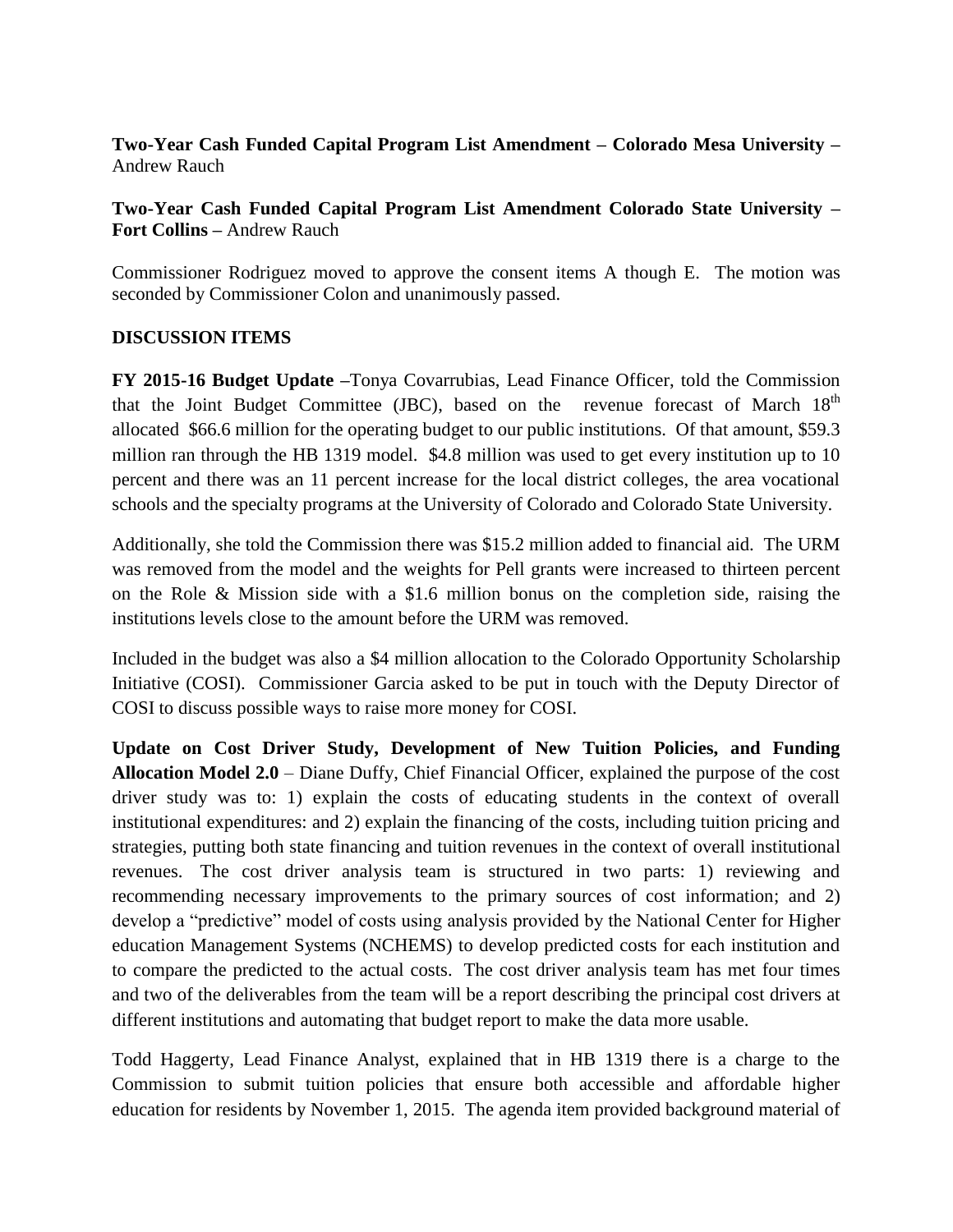**Two-Year Cash Funded Capital Program List Amendment – Colorado Mesa University –** Andrew Rauch

**Two-Year Cash Funded Capital Program List Amendment Colorado State University – Fort Collins –** Andrew Rauch

Commissioner Rodriguez moved to approve the consent items A though E. The motion was seconded by Commissioner Colon and unanimously passed.

### **DISCUSSION ITEMS**

**FY 2015-16 Budget Update –**Tonya Covarrubias, Lead Finance Officer, told the Commission that the Joint Budget Committee (JBC), based on the revenue forecast of March  $18<sup>th</sup>$ allocated \$66.6 million for the operating budget to our public institutions. Of that amount, \$59.3 million ran through the HB 1319 model. \$4.8 million was used to get every institution up to 10 percent and there was an 11 percent increase for the local district colleges, the area vocational schools and the specialty programs at the University of Colorado and Colorado State University.

Additionally, she told the Commission there was \$15.2 million added to financial aid. The URM was removed from the model and the weights for Pell grants were increased to thirteen percent on the Role & Mission side with a \$1.6 million bonus on the completion side, raising the institutions levels close to the amount before the URM was removed.

Included in the budget was also a \$4 million allocation to the Colorado Opportunity Scholarship Initiative (COSI). Commissioner Garcia asked to be put in touch with the Deputy Director of COSI to discuss possible ways to raise more money for COSI.

**Update on Cost Driver Study, Development of New Tuition Policies, and Funding Allocation Model 2.0** – Diane Duffy, Chief Financial Officer, explained the purpose of the cost driver study was to: 1) explain the costs of educating students in the context of overall institutional expenditures: and 2) explain the financing of the costs, including tuition pricing and strategies, putting both state financing and tuition revenues in the context of overall institutional revenues. The cost driver analysis team is structured in two parts: 1) reviewing and recommending necessary improvements to the primary sources of cost information; and 2) develop a "predictive" model of costs using analysis provided by the National Center for Higher education Management Systems (NCHEMS) to develop predicted costs for each institution and to compare the predicted to the actual costs. The cost driver analysis team has met four times and two of the deliverables from the team will be a report describing the principal cost drivers at different institutions and automating that budget report to make the data more usable.

Todd Haggerty, Lead Finance Analyst, explained that in HB 1319 there is a charge to the Commission to submit tuition policies that ensure both accessible and affordable higher education for residents by November 1, 2015. The agenda item provided background material of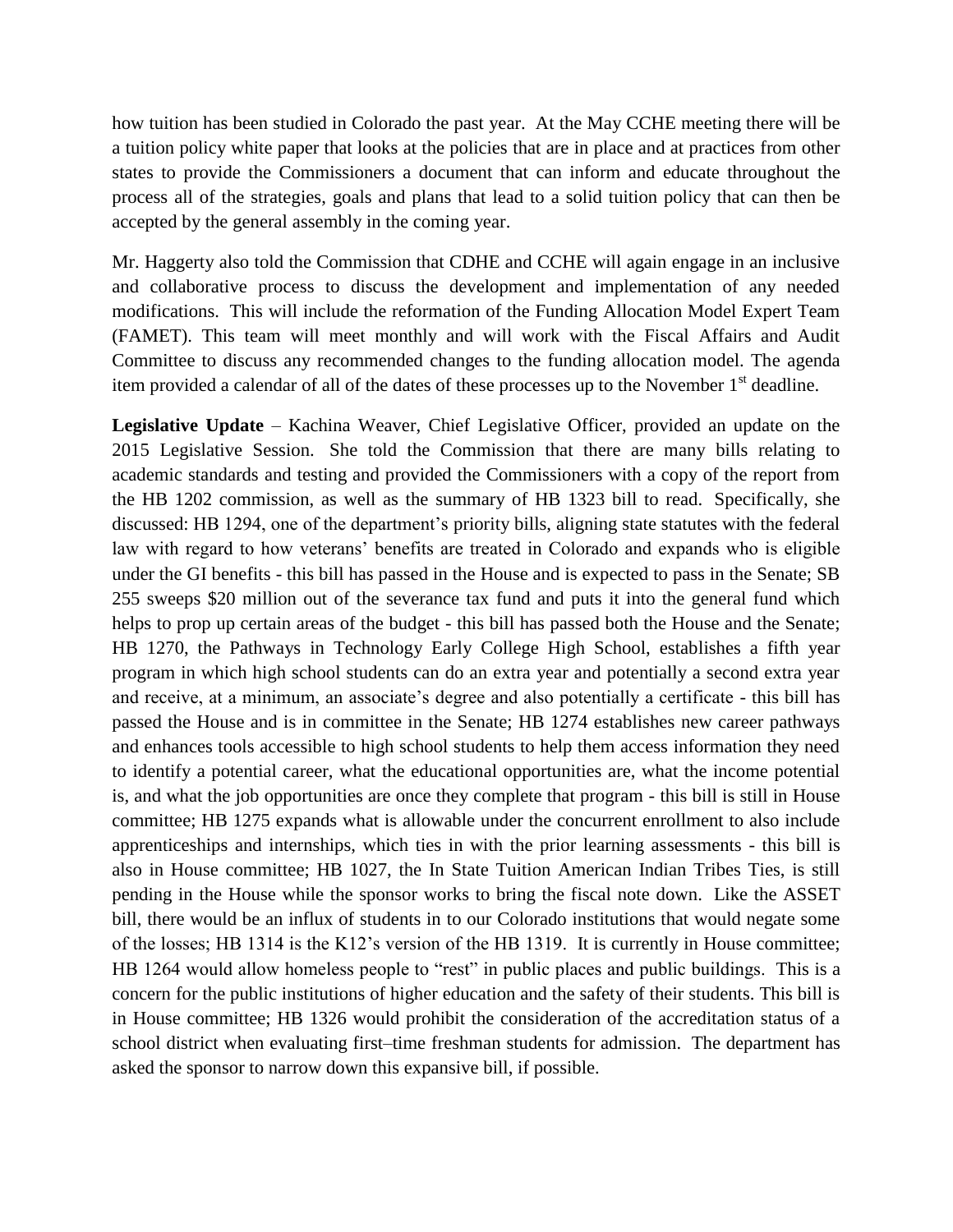how tuition has been studied in Colorado the past year. At the May CCHE meeting there will be a tuition policy white paper that looks at the policies that are in place and at practices from other states to provide the Commissioners a document that can inform and educate throughout the process all of the strategies, goals and plans that lead to a solid tuition policy that can then be accepted by the general assembly in the coming year.

Mr. Haggerty also told the Commission that CDHE and CCHE will again engage in an inclusive and collaborative process to discuss the development and implementation of any needed modifications. This will include the reformation of the Funding Allocation Model Expert Team (FAMET). This team will meet monthly and will work with the Fiscal Affairs and Audit Committee to discuss any recommended changes to the funding allocation model. The agenda item provided a calendar of all of the dates of these processes up to the November  $1<sup>st</sup>$  deadline.

**Legislative Update** – Kachina Weaver, Chief Legislative Officer, provided an update on the 2015 Legislative Session. She told the Commission that there are many bills relating to academic standards and testing and provided the Commissioners with a copy of the report from the HB 1202 commission, as well as the summary of HB 1323 bill to read. Specifically, she discussed: HB 1294, one of the department's priority bills, aligning state statutes with the federal law with regard to how veterans' benefits are treated in Colorado and expands who is eligible under the GI benefits - this bill has passed in the House and is expected to pass in the Senate; SB 255 sweeps \$20 million out of the severance tax fund and puts it into the general fund which helps to prop up certain areas of the budget - this bill has passed both the House and the Senate; HB 1270, the Pathways in Technology Early College High School, establishes a fifth year program in which high school students can do an extra year and potentially a second extra year and receive, at a minimum, an associate's degree and also potentially a certificate - this bill has passed the House and is in committee in the Senate; HB 1274 establishes new career pathways and enhances tools accessible to high school students to help them access information they need to identify a potential career, what the educational opportunities are, what the income potential is, and what the job opportunities are once they complete that program - this bill is still in House committee; HB 1275 expands what is allowable under the concurrent enrollment to also include apprenticeships and internships, which ties in with the prior learning assessments - this bill is also in House committee; HB 1027, the In State Tuition American Indian Tribes Ties, is still pending in the House while the sponsor works to bring the fiscal note down. Like the ASSET bill, there would be an influx of students in to our Colorado institutions that would negate some of the losses; HB 1314 is the K12's version of the HB 1319. It is currently in House committee; HB 1264 would allow homeless people to "rest" in public places and public buildings. This is a concern for the public institutions of higher education and the safety of their students. This bill is in House committee; HB 1326 would prohibit the consideration of the accreditation status of a school district when evaluating first–time freshman students for admission. The department has asked the sponsor to narrow down this expansive bill, if possible.